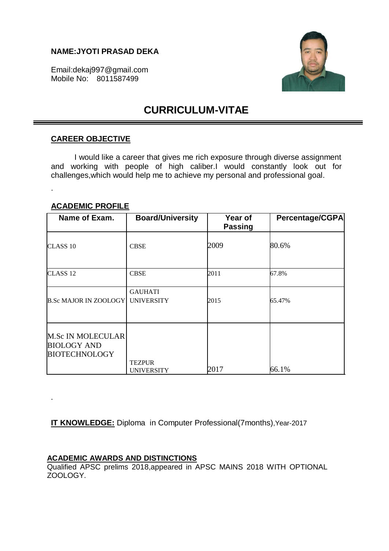## **NAME:JYOTI PRASAD DEKA**

Email:dekaj997@gmail.com Mobile No: 8011587499



# **CURRICULUM-VITAE**

## **CAREER OBJECTIVE**

I would like a career that gives me rich exposure through diverse assignment and working with people of high caliber.I would constantly look out for challenges,which would help me to achieve my personal and professional goal.

## **ACADEMIC PROFILE**

.

.

| Name of Exam.                                                          | <b>Board/University</b>             | Year of<br><b>Passing</b> | Percentage/CGPA |
|------------------------------------------------------------------------|-------------------------------------|---------------------------|-----------------|
| CLASS <sub>10</sub>                                                    | <b>CBSE</b>                         | 2009                      | 80.6%           |
| CLASS <sub>12</sub>                                                    | <b>CBSE</b>                         | 2011                      | 67.8%           |
| <b>B.Sc MAJOR IN ZOOLOGY</b>                                           | <b>GAUHATI</b><br><b>UNIVERSITY</b> | 2015                      | 65.47%          |
| <b>M.Sc IN MOLECULAR</b><br><b>BIOLOGY AND</b><br><b>BIOTECHNOLOGY</b> | <b>TEZPUR</b><br><b>UNIVERSITY</b>  | 2017                      | 66.1%           |

**IT KNOWLEDGE:** Diploma in Computer Professional(7months),Year-2017

# **ACADEMIC AWARDS AND DISTINCTIONS**

Qualified APSC prelims 2018,appeared in APSC MAINS 2018 WITH OPTIONAL ZOOLOGY.